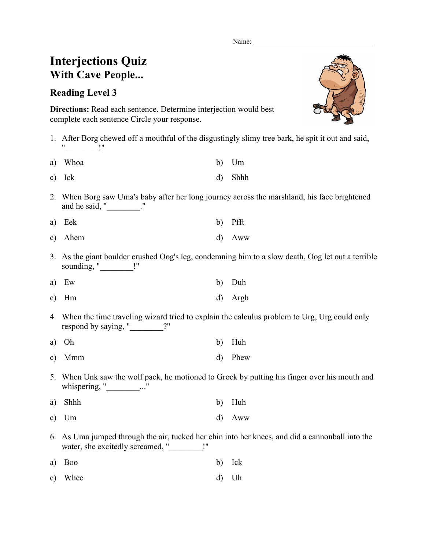Name:

## **Interjections Quiz With Cave People...**

## **Reading Level 3**

**Directions:** Read each sentence. Determine interjection would best complete each sentence Circle your response.

- 1. After Borg chewed off a mouthful of the disgustingly slimy tree bark, he spit it out and said,  $\mathsf{I}$  "
- a) Whoa b) Um
- c) Ick d) Shhh
- 2. When Borg saw Uma's baby after her long journey across the marshland, his face brightened and he said, " The said of the said of the said of the said set of the said set of the said set of the said set of the said set of the said set of the said set of the said set of the said set of the said set of the said se

| a) Eek  | b) Pfft  |
|---------|----------|
| c) Ahem | $d)$ Aww |

- 3. As the giant boulder crushed Oog's leg, condemning him to a slow death, Oog let out a terrible sounding, " ["
- a) Ew b) Duh c) Hm d) Argh
- 4. When the time traveling wizard tried to explain the calculus problem to Urg, Urg could only respond by saying, "\_\_\_\_\_\_\_\_?"
- a) Oh b) Huh
- c) Mmm d) Phew
- 5. When Unk saw the wolf pack, he motioned to Grock by putting his finger over his mouth and whispering, " $\ldots$ "
- a) Shhh b) Huh c) Um d) Aww
- 6. As Uma jumped through the air, tucked her chin into her knees, and did a cannonball into the water, she excitedly screamed, " \_\_\_\_\_\_\_ !"
- a) Boo b) Ick
- c) Whee d) Uh